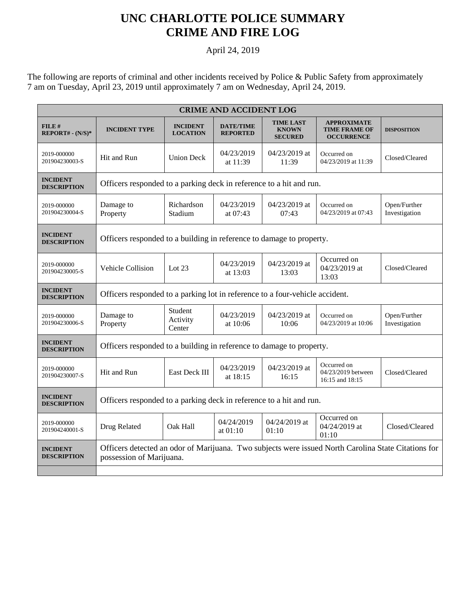## **UNC CHARLOTTE POLICE SUMMARY CRIME AND FIRE LOG**

## April 24, 2019

The following are reports of criminal and other incidents received by Police & Public Safety from approximately 7 am on Tuesday, April 23, 2019 until approximately 7 am on Wednesday, April 24, 2019.

| <b>CRIME AND ACCIDENT LOG</b>         |                                                                                                                                 |                                    |                                     |                                                    |                                                                 |                               |  |  |  |
|---------------------------------------|---------------------------------------------------------------------------------------------------------------------------------|------------------------------------|-------------------------------------|----------------------------------------------------|-----------------------------------------------------------------|-------------------------------|--|--|--|
| $FILE$ #<br>$REPORT# - (N/S)*$        | <b>INCIDENT TYPE</b>                                                                                                            | <b>INCIDENT</b><br><b>LOCATION</b> | <b>DATE/TIME</b><br><b>REPORTED</b> | <b>TIME LAST</b><br><b>KNOWN</b><br><b>SECURED</b> | <b>APPROXIMATE</b><br><b>TIME FRAME OF</b><br><b>OCCURRENCE</b> | <b>DISPOSITION</b>            |  |  |  |
| 2019-000000<br>201904230003-S         | Hit and Run                                                                                                                     | <b>Union Deck</b>                  | 04/23/2019<br>at 11:39              | 04/23/2019 at<br>11:39                             | Occurred on<br>04/23/2019 at 11:39                              | Closed/Cleared                |  |  |  |
| <b>INCIDENT</b><br><b>DESCRIPTION</b> | Officers responded to a parking deck in reference to a hit and run.                                                             |                                    |                                     |                                                    |                                                                 |                               |  |  |  |
| 2019-000000<br>201904230004-S         | Damage to<br>Property                                                                                                           | Richardson<br>Stadium              | 04/23/2019<br>at 07:43              | 04/23/2019 at<br>07:43                             | Occurred on<br>04/23/2019 at 07:43                              | Open/Further<br>Investigation |  |  |  |
| <b>INCIDENT</b><br><b>DESCRIPTION</b> | Officers responded to a building in reference to damage to property.                                                            |                                    |                                     |                                                    |                                                                 |                               |  |  |  |
| 2019-000000<br>201904230005-S         | Vehicle Collision                                                                                                               | Lot $23$                           | 04/23/2019<br>at $13:03$            | 04/23/2019 at<br>13:03                             | Occurred on<br>04/23/2019 at<br>13:03                           | Closed/Cleared                |  |  |  |
| <b>INCIDENT</b><br><b>DESCRIPTION</b> | Officers responded to a parking lot in reference to a four-vehicle accident.                                                    |                                    |                                     |                                                    |                                                                 |                               |  |  |  |
| 2019-000000<br>201904230006-S         | Damage to<br>Property                                                                                                           | Student<br>Activity<br>Center      | 04/23/2019<br>at 10:06              | 04/23/2019 at<br>10:06                             | Occurred on<br>04/23/2019 at 10:06                              | Open/Further<br>Investigation |  |  |  |
| <b>INCIDENT</b><br><b>DESCRIPTION</b> | Officers responded to a building in reference to damage to property.                                                            |                                    |                                     |                                                    |                                                                 |                               |  |  |  |
| 2019-000000<br>201904230007-S         | Hit and Run                                                                                                                     | East Deck III                      | 04/23/2019<br>at 18:15              | 04/23/2019 at<br>16:15                             | Occurred on<br>04/23/2019 between<br>16:15 and 18:15            | Closed/Cleared                |  |  |  |
| <b>INCIDENT</b><br><b>DESCRIPTION</b> | Officers responded to a parking deck in reference to a hit and run.                                                             |                                    |                                     |                                                    |                                                                 |                               |  |  |  |
| 2019-000000<br>201904240001-S         | Drug Related                                                                                                                    | Oak Hall                           | 04/24/2019<br>at 01:10              | 04/24/2019 at<br>01:10                             | Occurred on<br>04/24/2019 at<br>01:10                           | Closed/Cleared                |  |  |  |
| <b>INCIDENT</b><br><b>DESCRIPTION</b> | Officers detected an odor of Marijuana. Two subjects were issued North Carolina State Citations for<br>possession of Marijuana. |                                    |                                     |                                                    |                                                                 |                               |  |  |  |
|                                       |                                                                                                                                 |                                    |                                     |                                                    |                                                                 |                               |  |  |  |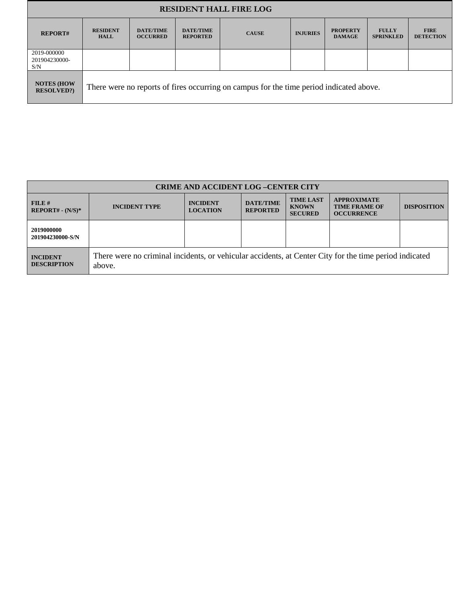| <b>RESIDENT HALL FIRE LOG</b>           |                                                                                         |                                     |                                     |              |                 |                                  |                                  |                                 |  |
|-----------------------------------------|-----------------------------------------------------------------------------------------|-------------------------------------|-------------------------------------|--------------|-----------------|----------------------------------|----------------------------------|---------------------------------|--|
| <b>REPORT#</b>                          | <b>RESIDENT</b><br><b>HALL</b>                                                          | <b>DATE/TIME</b><br><b>OCCURRED</b> | <b>DATE/TIME</b><br><b>REPORTED</b> | <b>CAUSE</b> | <b>INJURIES</b> | <b>PROPERTY</b><br><b>DAMAGE</b> | <b>FULLY</b><br><b>SPRINKLED</b> | <b>FIRE</b><br><b>DETECTION</b> |  |
| 2019-000000<br>201904230000-<br>S/N     |                                                                                         |                                     |                                     |              |                 |                                  |                                  |                                 |  |
| <b>NOTES (HOW</b><br><b>RESOLVED?</b> ) | There were no reports of fires occurring on campus for the time period indicated above. |                                     |                                     |              |                 |                                  |                                  |                                 |  |

| <b>CRIME AND ACCIDENT LOG-CENTER CITY</b> |                                                                                                                  |                                    |                                     |                                                    |                                                                 |                    |  |  |
|-------------------------------------------|------------------------------------------------------------------------------------------------------------------|------------------------------------|-------------------------------------|----------------------------------------------------|-----------------------------------------------------------------|--------------------|--|--|
| FILE#<br>$REPORT# - (N/S)*$               | <b>INCIDENT TYPE</b>                                                                                             | <b>INCIDENT</b><br><b>LOCATION</b> | <b>DATE/TIME</b><br><b>REPORTED</b> | <b>TIME LAST</b><br><b>KNOWN</b><br><b>SECURED</b> | <b>APPROXIMATE</b><br><b>TIME FRAME OF</b><br><b>OCCURRENCE</b> | <b>DISPOSITION</b> |  |  |
| 2019000000<br>201904230000-S/N            |                                                                                                                  |                                    |                                     |                                                    |                                                                 |                    |  |  |
| <b>INCIDENT</b><br><b>DESCRIPTION</b>     | There were no criminal incidents, or vehicular accidents, at Center City for the time period indicated<br>above. |                                    |                                     |                                                    |                                                                 |                    |  |  |